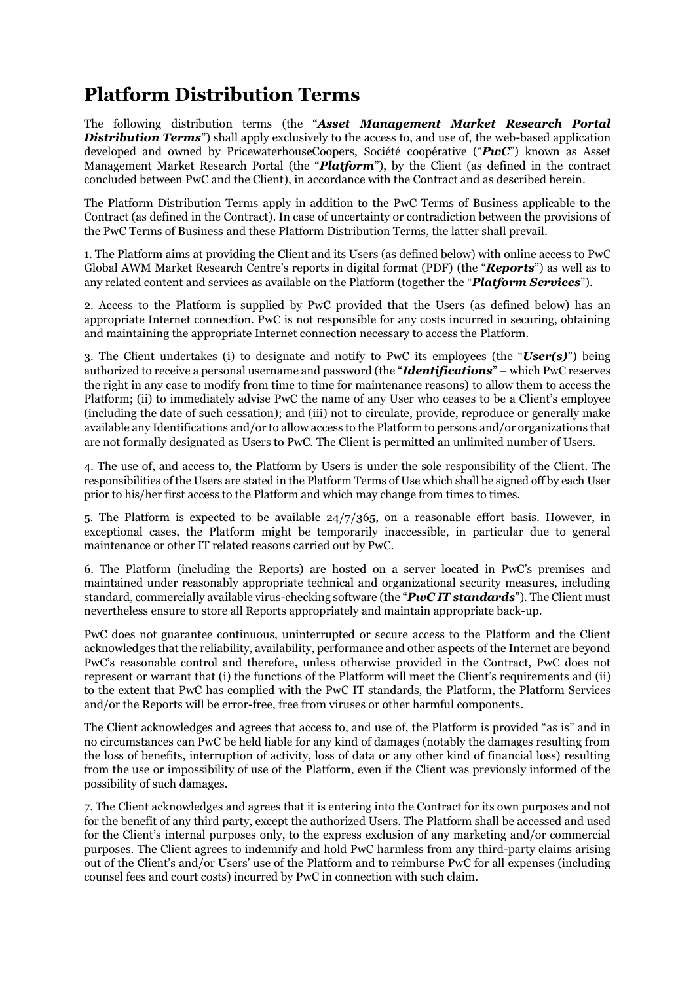## **Platform Distribution Terms**

The following distribution terms (the "*Asset Management Market Research Portal* **Distribution Terms**") shall apply exclusively to the access to, and use of, the web-based application developed and owned by PricewaterhouseCoopers, Société coopérative ("*PwC*") known as Asset Management Market Research Portal (the "*Platform*"), by the Client (as defined in the contract concluded between PwC and the Client), in accordance with the Contract and as described herein.

The Platform Distribution Terms apply in addition to the PwC Terms of Business applicable to the Contract (as defined in the Contract). In case of uncertainty or contradiction between the provisions of the PwC Terms of Business and these Platform Distribution Terms, the latter shall prevail.

1. The Platform aims at providing the Client and its Users (as defined below) with online access to PwC Global AWM Market Research Centre's reports in digital format (PDF) (the "*Reports*") as well as to any related content and services as available on the Platform (together the "*Platform Services*").

2. Access to the Platform is supplied by PwC provided that the Users (as defined below) has an appropriate Internet connection. PwC is not responsible for any costs incurred in securing, obtaining and maintaining the appropriate Internet connection necessary to access the Platform.

3. The Client undertakes (i) to designate and notify to PwC its employees (the "*User(s)*") being authorized to receive a personal username and password (the "*Identifications*" – which PwC reserves the right in any case to modify from time to time for maintenance reasons) to allow them to access the Platform; (ii) to immediately advise PwC the name of any User who ceases to be a Client's employee (including the date of such cessation); and (iii) not to circulate, provide, reproduce or generally make available any Identifications and/or to allow access to the Platform to persons and/or organizations that are not formally designated as Users to PwC. The Client is permitted an unlimited number of Users.

4. The use of, and access to, the Platform by Users is under the sole responsibility of the Client. The responsibilities of the Users are stated in the Platform Terms of Use which shall be signed off by each User prior to his/her first access to the Platform and which may change from times to times.

5. The Platform is expected to be available 24/7/365, on a reasonable effort basis. However, in exceptional cases, the Platform might be temporarily inaccessible, in particular due to general maintenance or other IT related reasons carried out by PwC.

6. The Platform (including the Reports) are hosted on a server located in PwC's premises and maintained under reasonably appropriate technical and organizational security measures, including standard, commercially available virus-checking software (the "*PwC IT standards*"). The Client must nevertheless ensure to store all Reports appropriately and maintain appropriate back-up.

PwC does not guarantee continuous, uninterrupted or secure access to the Platform and the Client acknowledges that the reliability, availability, performance and other aspects of the Internet are beyond PwC's reasonable control and therefore, unless otherwise provided in the Contract, PwC does not represent or warrant that (i) the functions of the Platform will meet the Client's requirements and (ii) to the extent that PwC has complied with the PwC IT standards, the Platform, the Platform Services and/or the Reports will be error-free, free from viruses or other harmful components.

The Client acknowledges and agrees that access to, and use of, the Platform is provided "as is" and in no circumstances can PwC be held liable for any kind of damages (notably the damages resulting from the loss of benefits, interruption of activity, loss of data or any other kind of financial loss) resulting from the use or impossibility of use of the Platform, even if the Client was previously informed of the possibility of such damages.

7. The Client acknowledges and agrees that it is entering into the Contract for its own purposes and not for the benefit of any third party, except the authorized Users. The Platform shall be accessed and used for the Client's internal purposes only, to the express exclusion of any marketing and/or commercial purposes. The Client agrees to indemnify and hold PwC harmless from any third-party claims arising out of the Client's and/or Users' use of the Platform and to reimburse PwC for all expenses (including counsel fees and court costs) incurred by PwC in connection with such claim.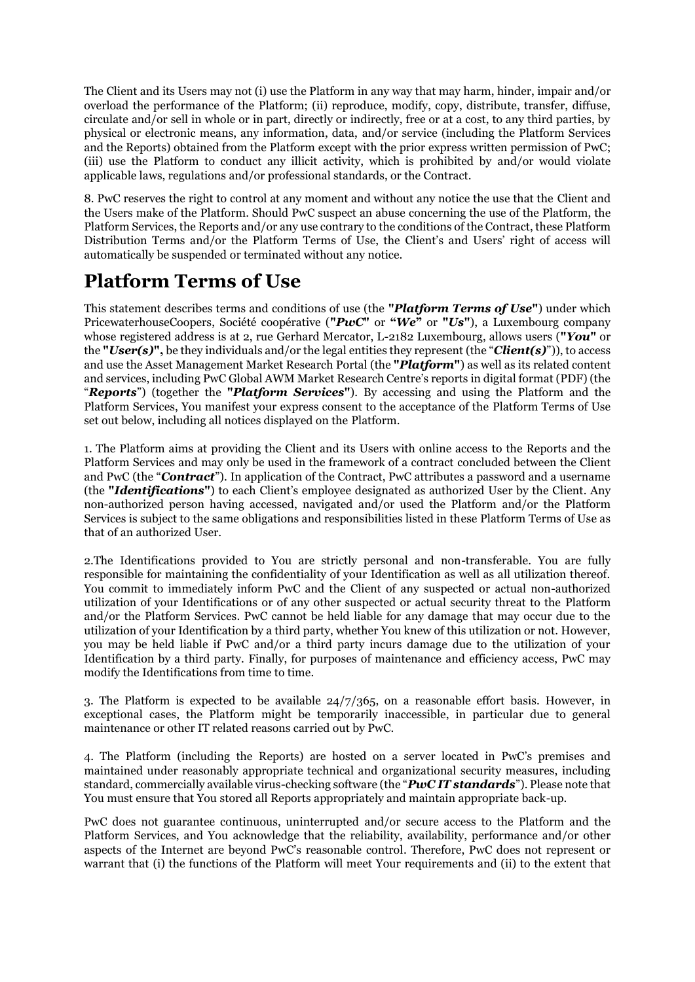The Client and its Users may not (i) use the Platform in any way that may harm, hinder, impair and/or overload the performance of the Platform; (ii) reproduce, modify, copy, distribute, transfer, diffuse, circulate and/or sell in whole or in part, directly or indirectly, free or at a cost, to any third parties, by physical or electronic means, any information, data, and/or service (including the Platform Services and the Reports) obtained from the Platform except with the prior express written permission of PwC; (iii) use the Platform to conduct any illicit activity, which is prohibited by and/or would violate applicable laws, regulations and/or professional standards, or the Contract.

8. PwC reserves the right to control at any moment and without any notice the use that the Client and the Users make of the Platform. Should PwC suspect an abuse concerning the use of the Platform, the Platform Services, the Reports and/or any use contrary to the conditions of the Contract, these Platform Distribution Terms and/or the Platform Terms of Use, the Client's and Users' right of access will automatically be suspended or terminated without any notice.

## **Platform Terms of Use**

This statement describes terms and conditions of use (the **"***Platform Terms of Use***"**) under which PricewaterhouseCoopers, Société coopérative (**"***PwC***"** or **"***We***"** or **"***Us***"**), a Luxembourg company whose registered address is at 2, rue Gerhard Mercator, L-2182 Luxembourg, allows users (**"***You***"** or the **"***User(s)***",** be they individuals and/or the legal entities they represent (the "*Client(s)*")), to access and use the Asset Management Market Research Portal (the **"***Platform***"**) as well as its related content and services, including PwC Global AWM Market Research Centre's reports in digital format (PDF) (the "*Reports*") (together the **"***Platform Services***"**). By accessing and using the Platform and the Platform Services, You manifest your express consent to the acceptance of the Platform Terms of Use set out below, including all notices displayed on the Platform.

1. The Platform aims at providing the Client and its Users with online access to the Reports and the Platform Services and may only be used in the framework of a contract concluded between the Client and PwC (the "*Contract*"). In application of the Contract, PwC attributes a password and a username (the **"***Identifications***"**) to each Client's employee designated as authorized User by the Client. Any non-authorized person having accessed, navigated and/or used the Platform and/or the Platform Services is subject to the same obligations and responsibilities listed in these Platform Terms of Use as that of an authorized User.

2.The Identifications provided to You are strictly personal and non-transferable. You are fully responsible for maintaining the confidentiality of your Identification as well as all utilization thereof. You commit to immediately inform PwC and the Client of any suspected or actual non-authorized utilization of your Identifications or of any other suspected or actual security threat to the Platform and/or the Platform Services. PwC cannot be held liable for any damage that may occur due to the utilization of your Identification by a third party, whether You knew of this utilization or not. However, you may be held liable if PwC and/or a third party incurs damage due to the utilization of your Identification by a third party. Finally, for purposes of maintenance and efficiency access, PwC may modify the Identifications from time to time.

3. The Platform is expected to be available 24/7/365, on a reasonable effort basis. However, in exceptional cases, the Platform might be temporarily inaccessible, in particular due to general maintenance or other IT related reasons carried out by PwC.

4. The Platform (including the Reports) are hosted on a server located in PwC's premises and maintained under reasonably appropriate technical and organizational security measures, including standard, commercially available virus-checking software (the "*PwC IT standards*"). Please note that You must ensure that You stored all Reports appropriately and maintain appropriate back-up.

PwC does not guarantee continuous, uninterrupted and/or secure access to the Platform and the Platform Services, and You acknowledge that the reliability, availability, performance and/or other aspects of the Internet are beyond PwC's reasonable control. Therefore, PwC does not represent or warrant that (i) the functions of the Platform will meet Your requirements and (ii) to the extent that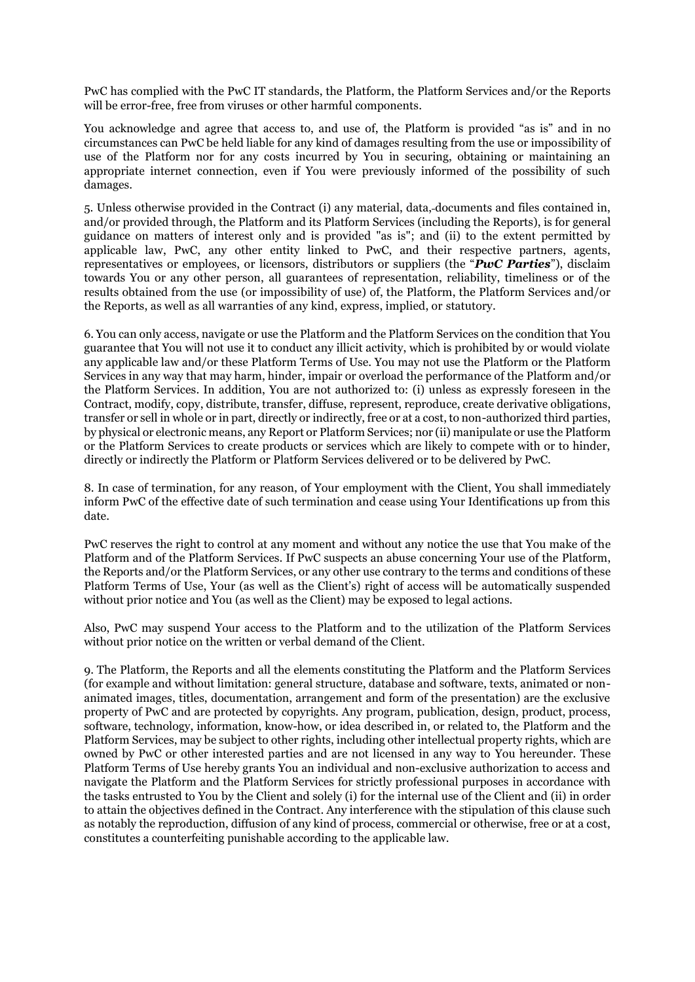PwC has complied with the PwC IT standards, the Platform, the Platform Services and/or the Reports will be error-free, free from viruses or other harmful components.

You acknowledge and agree that access to, and use of, the Platform is provided "as is" and in no circumstances can PwC be held liable for any kind of damages resulting from the use or impossibility of use of the Platform nor for any costs incurred by You in securing, obtaining or maintaining an appropriate internet connection, even if You were previously informed of the possibility of such damages.

5. Unless otherwise provided in the Contract (i) any material, data, documents and files contained in, and/or provided through, the Platform and its Platform Services (including the Reports), is for general guidance on matters of interest only and is provided "as is"; and (ii) to the extent permitted by applicable law, PwC, any other entity linked to PwC, and their respective partners, agents, representatives or employees, or licensors, distributors or suppliers (the "*PwC Parties*"), disclaim towards You or any other person, all guarantees of representation, reliability, timeliness or of the results obtained from the use (or impossibility of use) of, the Platform, the Platform Services and/or the Reports, as well as all warranties of any kind, express, implied, or statutory.

6. You can only access, navigate or use the Platform and the Platform Services on the condition that You guarantee that You will not use it to conduct any illicit activity, which is prohibited by or would violate any applicable law and/or these Platform Terms of Use. You may not use the Platform or the Platform Services in any way that may harm, hinder, impair or overload the performance of the Platform and/or the Platform Services. In addition, You are not authorized to: (i) unless as expressly foreseen in the Contract, modify, copy, distribute, transfer, diffuse, represent, reproduce, create derivative obligations, transfer or sell in whole or in part, directly or indirectly, free or at a cost, to non-authorized third parties, by physical or electronic means, any Report or Platform Services; nor (ii) manipulate or use the Platform or the Platform Services to create products or services which are likely to compete with or to hinder, directly or indirectly the Platform or Platform Services delivered or to be delivered by PwC.

8. In case of termination, for any reason, of Your employment with the Client, You shall immediately inform PwC of the effective date of such termination and cease using Your Identifications up from this date.

PwC reserves the right to control at any moment and without any notice the use that You make of the Platform and of the Platform Services. If PwC suspects an abuse concerning Your use of the Platform, the Reports and/or the Platform Services, or any other use contrary to the terms and conditions of these Platform Terms of Use, Your (as well as the Client's) right of access will be automatically suspended without prior notice and You (as well as the Client) may be exposed to legal actions.

Also, PwC may suspend Your access to the Platform and to the utilization of the Platform Services without prior notice on the written or verbal demand of the Client.

9. The Platform, the Reports and all the elements constituting the Platform and the Platform Services (for example and without limitation: general structure, database and software, texts, animated or nonanimated images, titles, documentation, arrangement and form of the presentation) are the exclusive property of PwC and are protected by copyrights. Any program, publication, design, product, process, software, technology, information, know-how, or idea described in, or related to, the Platform and the Platform Services, may be subject to other rights, including other intellectual property rights, which are owned by PwC or other interested parties and are not licensed in any way to You hereunder. These Platform Terms of Use hereby grants You an individual and non-exclusive authorization to access and navigate the Platform and the Platform Services for strictly professional purposes in accordance with the tasks entrusted to You by the Client and solely (i) for the internal use of the Client and (ii) in order to attain the objectives defined in the Contract. Any interference with the stipulation of this clause such as notably the reproduction, diffusion of any kind of process, commercial or otherwise, free or at a cost, constitutes a counterfeiting punishable according to the applicable law.